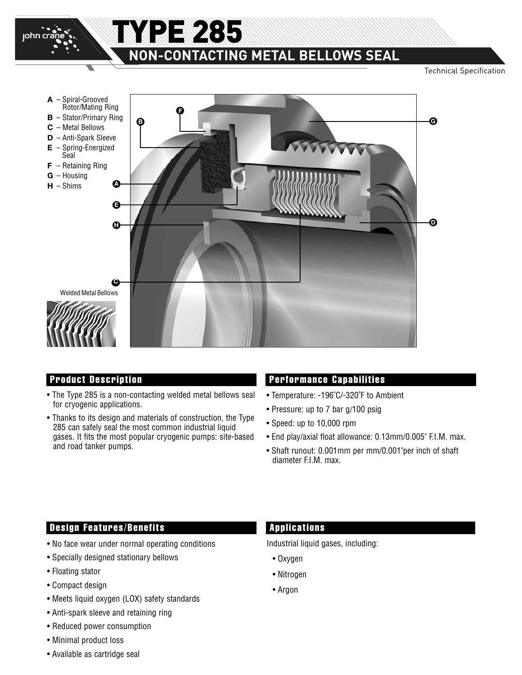

# **NON-CONTACTING METAL BELLOWS SEAL**

TYPE 285

Technical Specification



- The Type 285 is a non-contacting welded metal bellows seal for cryogenic applications.
- Thanks to its design and materials of construction, the Type 285 can safely seal the most common industrial liquid gases. It fits the most popular cryogenic pumps: site-based and road tanker pumps.

#### **Product Description Performance Capabilities**

- Temperature: -196˚C/-320˚F to Ambient
- Pressure: up to 7 bar g/100 psig
- Speed: up to 10,000 rpm
- End play/axial float allowance: 0.13mm/0.005" F.I.M. max.
- Shaft runout: 0.001mm per mm/0.001"per inch of shaft diameter F.I.M. max.

#### **Design Features/Benefits**

- No face wear under normal operating conditions
- Specially designed stationary bellows
- Floating stator
- Compact design
- Meets liquid oxygen (LOX) safety standards
- Anti-spark sleeve and retaining ring
- Reduced power consumption
- Minimal product loss
- Available as cartridge seal

#### **Applications**

Industrial liquid gases, including:

- Oxygen
- Nitrogen
- Argon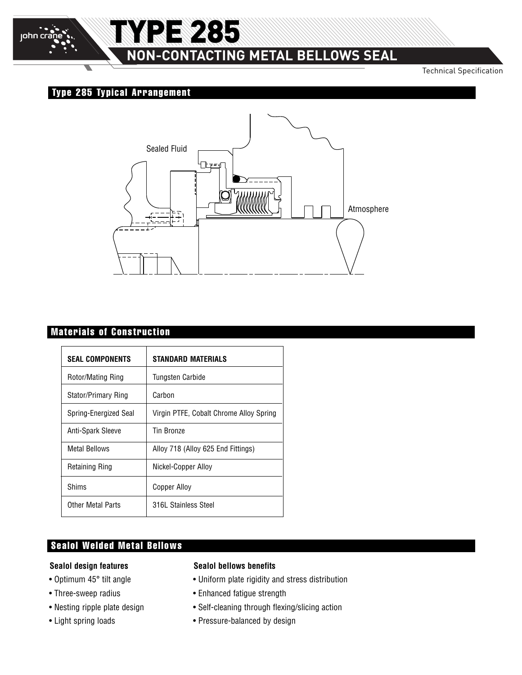

# **NON-CONTACTING METAL BELLOWS SEAL**

Technical Specification

## **Type 285 Typical Arrangement**

TYPE 285



### **Materials of Construction**

| <b>SEAL COMPONENTS</b> | <b>STANDARD MATERIALS</b>               |  |  |
|------------------------|-----------------------------------------|--|--|
| Rotor/Mating Ring      | Tungsten Carbide                        |  |  |
| Stator/Primary Ring    | Carbon                                  |  |  |
| Spring-Energized Seal  | Virgin PTFE, Cobalt Chrome Alloy Spring |  |  |
| Anti-Spark Sleeve      | <b>Tin Bronze</b>                       |  |  |
| <b>Metal Bellows</b>   | Alloy 718 (Alloy 625 End Fittings)      |  |  |
| <b>Retaining Ring</b>  | Nickel-Copper Alloy                     |  |  |
| Shims                  | Copper Alloy                            |  |  |
| Other Metal Parts      | 316L Stainless Steel                    |  |  |

### **Sealol Welded Metal Bellows**

#### **Sealol design features**

- Optimum 45° tilt angle
- Three-sweep radius
- Nesting ripple plate design
- Light spring loads

#### **Sealol bellows benefits**

- Uniform plate rigidity and stress distribution
- Enhanced fatigue strength
- Self-cleaning through flexing/slicing action
- Pressure-balanced by design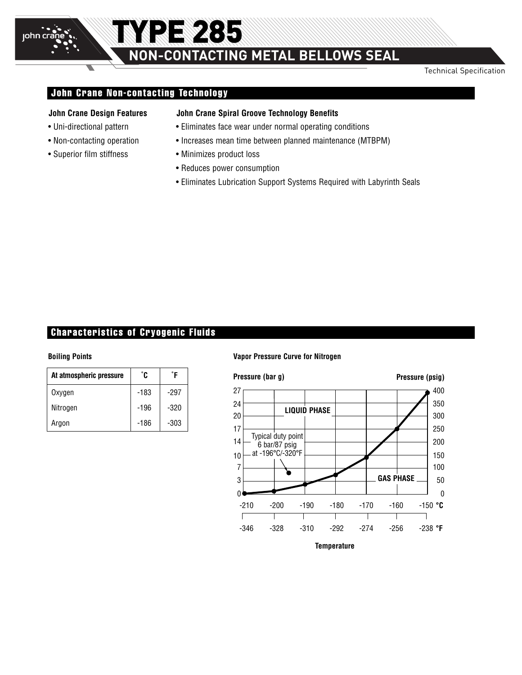Technical Specification

#### **John Crane Non-contacting Technology**

TYPE 285

#### **John Crane Design Features**

• Uni-directional pattern

john cra

- Non-contacting operation
- Superior film stiffness

#### **John Crane Spiral Groove Technology Benefits**

- Eliminates face wear under normal operating conditions
- Increases mean time between planned maintenance (MTBPM)
- Minimizes product loss
- Reduces power consumption
- Eliminates Lubrication Support Systems Required with Labyrinth Seals

#### **Characteristics of Cryogenic Fluids**

| At atmospheric pressure | °C     | °F     |
|-------------------------|--------|--------|
| Oxvgen                  | $-183$ | -297   |
| Nitrogen                | -196   | $-320$ |
| Argon                   | -186   | $-303$ |

#### **Boiling Points Vapor Pressure Curve for Nitrogen**